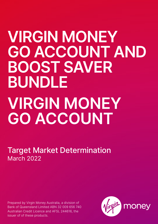# **VIRGIN MONEY GO ACCOUNT AND BOOST SAVER BUNDLE VIRGIN MONEY GO ACCOUNT**

Target Market Determination March 2022

Prepared by Virgin Money Australia, a division of Bank of Queensland Limited ABN 32 009 656 740 Australian Credit Licence and AFSL 244616, the issuer of of these products.

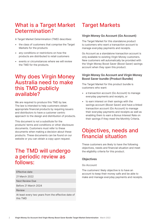## What is a Target Market Determination?

A Target Market Determination (TMD) describes:

- the class of customers that comprise the Target Markets for the products
- any conditions or restrictions on how the products are distributed to retail customers
- events or circumstances where we will review the TMD for the products.

### Why does Virgin Money Australia need to make this TMD publicly available?

We are required to produce this TMD by law. The law is intended to help customers obtain appropriate financial products by requiring issuers and distributors to have a customer centric approach to the design and distribution of products.

This document is not a substitute for the products' terms and conditions or other disclosure documents. Customers must refer to these documents when making a decision about these products. These documents can be found on our website or you can obtain a copy upon request.

## The TMD will undergo a periodic review as follows:

Effective date 21 March 2022 Next Review Due Before 21 March 2024 Review At least every two years from the effective date of this TMD

## Target Markets

#### **Virgin Money Go Account (Go Account)**

The Target Market for this standalone product is customers who want a transaction account to manage everyday payments and receipts.

Go Account as a standalone transaction account is only available to existing Virgin Money customers. New customers will automatically be provided with the Virgin Money Boost Saver (Boost Saver) savings account when they open this product.

#### **Virgin Money Go Account and Virgin Money Boost Saver bundle (Product Bundle)**

The Target Market for this product bundle is customers who want:

- a transaction account (Go Account) to manage everyday payments and receipts, or
- to earn interest on their savings with the savings account (Boost Saver) and have a linked transaction account (Go Account) to manage their everyday payments and receipts as well as enabling them to earn a Bonus Interest Rate on their savings if they meet the Monthly Criteria.

## Objectives, needs and financial situation

These customers are likely to have the following objectives, needs and financial situation and meet the eligibility criteria for this product.

#### **Objectives**

#### **Go Account**

The customers' likely objective is to have an account to keep their money safe and be able to make and manage everyday payments and receipts.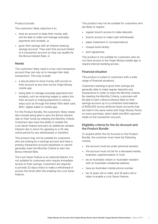#### **Product bundle**

The customers' likely objective is to:

- have an account to keep their money safe and be able to make and manage everyday payments and receipts, or
- grow their savings with an interest-bearing savings account. They want this account linked to a transaction account so they can qualify for the Bonus Interest Rate, or

#### **Needs**

The customers' likely need is a low-cost transaction account they can rely on to manage their daily transactions. This may include:

- a secure place to store money with access to their account at any time via the Virgin Money mobile app
- being able to manage everyday payments and receipts, such as receiving wages or salary into their account or making payments in various ways such as through the linked VISA debit card, BPAY, digital wallet or mobile app.

For the Product Bundle, the customers' likely needs also include being able to earn the Bonus Interest rate on their funds by meeting the Monthly Criteria. Customers also have the ability to enable the Lock Saver Feature and earn an additional variable interest rate in return for agreeing to a 32-day notice period for any withdrawals or transfers.

This product may not be suitable for customers who are looking for a savings account and have a primary transaction account elsewhere or cannot generally meet the Monthly Criteria to earn the Bonus Interest Rate.

The Lock Saver Feature is an optional feature. It is not suitable for customers who require immediate access to their savings. Customers are required to provide 32 days notice to make a withdrawal or access the funds after the enabling the Lock Saver Feature.

This product may not be suitable for customers who are likely to require:

- regular branch access to make deposits
- branch access to make cash withdrawals
- paper statement or correspondence
- cheque book facility
- joint signatories.

This product is not suitable for customers who do not have access to the Virgin Money mobile app or require internet banking access.

#### **Financial situation**

This product is suited to customers with a wide range of financial situations.

Customers wanting to grow their savings are generally able to make regular deposits and transactions in order to meet the Monthly Criteria. By meeting the Monthly Criteria, customers will be able to earn a Bonus Interest Rate on their savings account up to a combined total balance of \$250,000 across all Boost Saver accounts that are held in the same name and Virgin Money Points on every purchase, direct debit and BPAY payment made on the transaction account.

#### **Eligibility criteria for the Go Account and the Product Bundle**

To acquire either the Go Account or the Product Bundle, the customer must meet the following criteria:

- the account must be under personal name(s)
- the account must not be for a deceased estate, business, superannuation or trust
- be an Australian citizen or Australian resident with an Australian residential address
- have an Australian mobile phone number
- be 14 years old or older, and 18 years old or older to enable a Lock Saver Feature.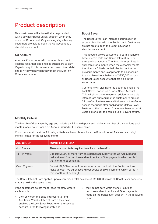# Product description

New customers will automatically be provided with a savings (Boost Saver) account when they open the Go Account. Only existing Virgin Money customers are able to open the Go Account as a standalone account.

#### **Go Account**

A transaction account with no monthly account keeping fees, that also enables customers to earn Virgin Money Points on every purchase, direct debit and BPAY payment when they meet the Monthly Criteria each month.

#### **Boost Saver**

The Boost Saver is an interest-bearing savings account bundled with the Go Account. Customers are not able to open the Boost Saver as a standalone account.

This account allows customers to earn a variable Base Interest Rate and Bonus Interest Rate on their savings account. The Bonus Interest Rate is applicable for a month when the customer meets the Monthly Criteria on their Go Account in the previous month and is applicable to balances up to a combined total balance of \$250,000 across all Boost Saver accounts that are held in the same name.

Customers will also have the option to enable the Lock Saver Feature on a Boost Saver Account. This will allow them to earn an additional variable interest rate but requires the customer to provide 32 days' notice to make a withdrawal or transfer, or access the funds after enabling the Unlock Saver Feature on their account. Customers have to be 18 years old or older to enable a Lock Saver Feature.

#### **Monthly Criteria**

The Monthly Criteria vary by age and include a minimum deposit and minimum number of transactions each month made into or from a Go Account issued in the same name.

Customers must meet the following criteria each month to unlock the Bonus Interest Rate and earn Virgin Money Points for the following month.

| <b>AGE GROUP</b> | <b>MONTHLY CRITERIA</b>                                                                                                                                                               |
|------------------|---------------------------------------------------------------------------------------------------------------------------------------------------------------------------------------|
| $4 - 17$ years   | There are no criteria required to unlock the benefits.                                                                                                                                |
| $18 - 24$ years  | Deposit \$1,000 or more from an external account into the Go Account and<br>make at least five purchases, direct debits or BPAY payments which settle in<br>that month (not pending). |
| Over 25 years    | Deposit \$2,000 or more from an external account into the Go Account and<br>make at least five purchases, direct debits or BPAY payments which settle in<br>that month (not pending). |

The Bonus Interest Rate applies up to a combined total balance of \$250,000 across all Boost Saver accounts that are held in the same name.

If the customers do not meet these Monthly Criteria each month:

- they only earn the Base Interest Rate (and Additional Variable Interest Rate if they have enabled the Lock Saver Feature) on the savings account in the following month, and
- they do not earn Virgin Money Points on purchases, direct debits and BPAY payments made on the transaction account in the following month.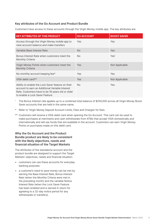#### **Key attributes of the Go Account and Product Bundle**

Customers have access to these accounts through the Virgin Money mobile app. The key attributes are:

| <b>KEY ATTRIBUTES OF THIS PRODUCT</b>                                                                                                                                                      | <b>GO ACCOUNT</b> | <b>BOOST SAVER</b> |
|--------------------------------------------------------------------------------------------------------------------------------------------------------------------------------------------|-------------------|--------------------|
| Access through the Virgin Money mobile app to<br>view account balance and make transfers                                                                                                   | Yes               | Yes.               |
| Variable Base Interest Rate                                                                                                                                                                | N <sub>o</sub>    | <b>Yes</b>         |
| Bonus Interest Rate when customers meet the<br>Monthly Criteria                                                                                                                            | <b>No</b>         | Yes <sup>1</sup>   |
| Virgin Money Points when customers meet the<br>Monthly Criteria                                                                                                                            | Yes               | Not Applicable     |
| No monthly account keeping fee*                                                                                                                                                            | <b>Yes</b>        | Yes                |
| VISA debit card**                                                                                                                                                                          | <b>Yes</b>        | Not Applicable     |
| Ability to enable the Lock Saver feature on their<br>account to earn an Additional Variable Interest<br>Rate. Customers have to be 18 years old or older<br>to enable a Lock Saver Feature | No.               | <b>Yes</b>         |

- 1 The Bonus Interest rate applies up to a combined total balance of \$250,000 across all Virgin Money Boost Saver accounts that are held in the same name.
- \* Refer to 'Virgin Money Deposit Account Limits, Fees and Charges' for fees.
- \*\* Customers will receive a VISA debit card when opening the Go Account. This card can be used to make purchases at merchants and cash withdrawals from ATMs that accept VISA domestically and internationally and will use funds that are available in the account. Customers can earn Virgin Money Points on purchases made on this debit card.

#### **Why the Go Account and the Product Bundle product are likely to be consistent with the likely objectives, needs and financial situation of the Target Markets**

The attributes of the standalone account and the product bundle are designed to support the Target Markets' objectives, needs and financial situation:

- customers can use these accounts for everyday banking purposes
- a customer's need to save money can be met by earning the Base Interest Rate, Bonus Interest Rate (when the Monthly Criteria were met in the preceding month) and the variable Notice Interest Rate (when the Lock Saver Feature has been enabled and is earned in return for agreeing to a 32-day notice period for any withdrawals or transfers).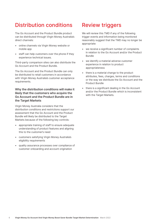# Distribution conditions

The Go Account and the Product Bundle product can be distributed through Virgin Money Australia's direct channels:

- online channels via Virgin Money website or mobile app
- staff can help customers over the phone if they experience technical issues.

Third-party comparison sites can also distribute the Go Account and the Product Bundle.

The Go Account and the Product Bundle can only be distributed to retail customers in accordance with Virgin Money Australia's customer acceptance requirements.

#### **Why the distribution conditions will make it likely that the customers who acquire the Go Account and the Product Bundle are in the Target Markets**

Virgin Money Australia considers that the distribution conditions and restrictions support our assessment that the Go Account and the Product Bundle will likely be distributed to the Target Markets because of the following key controls:

- appropriate training of staff to ensure adequate understanding of product features and aligning this to the customer's need
- customers satisfying Virgin Money Australia's eligibility requirements
- quality assurance processes over compliance of customer onboarding and account origination

# Review triggers

We will review this TMD if any of the following trigger events and information being monitored reasonably suggest that the TMD may no longer be appropriate:

- we receive a significant number of complaints in relation to the Go Account and/or the Product Bundle
- we identify a material adverse customer experience in relation to product appropriateness
- there is a material change to the product attributes, fees, charges, terms and conditions or the way we distribute the Go Account and the Product Bundle
- there is a significant dealing in the Go Account and/or the Product Bundle which is inconsistent with the Target Markets.